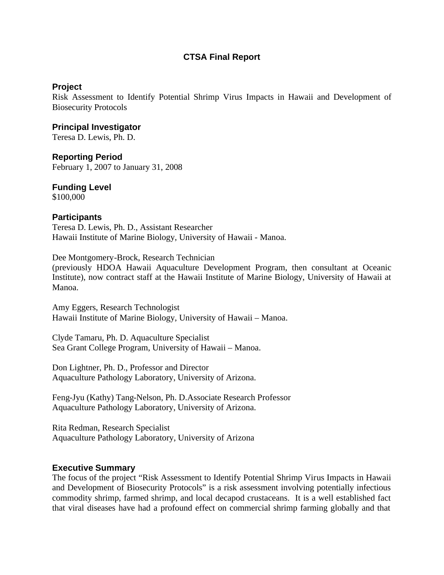# **CTSA Final Report**

### **Project**

Risk Assessment to Identify Potential Shrimp Virus Impacts in Hawaii and Development of Biosecurity Protocols

**Principal Investigator**  Teresa D. Lewis, Ph. D.

**Reporting Period**  February 1, 2007 to January 31, 2008

# **Funding Level**

\$100,000

### **Participants**

Teresa D. Lewis, Ph. D., Assistant Researcher Hawaii Institute of Marine Biology, University of Hawaii - Manoa.

Dee Montgomery-Brock, Research Technician

(previously HDOA Hawaii Aquaculture Development Program, then consultant at Oceanic Institute), now contract staff at the Hawaii Institute of Marine Biology, University of Hawaii at Manoa.

Amy Eggers, Research Technologist Hawaii Institute of Marine Biology, University of Hawaii – Manoa.

Clyde Tamaru, Ph. D. Aquaculture Specialist Sea Grant College Program, University of Hawaii – Manoa.

Don Lightner, Ph. D., Professor and Director Aquaculture Pathology Laboratory, University of Arizona.

Feng-Jyu (Kathy) Tang-Nelson, Ph. D.Associate Research Professor Aquaculture Pathology Laboratory, University of Arizona.

Rita Redman, Research Specialist Aquaculture Pathology Laboratory, University of Arizona

### **Executive Summary**

The focus of the project "Risk Assessment to Identify Potential Shrimp Virus Impacts in Hawaii and Development of Biosecurity Protocols" is a risk assessment involving potentially infectious commodity shrimp, farmed shrimp, and local decapod crustaceans. It is a well established fact that viral diseases have had a profound effect on commercial shrimp farming globally and that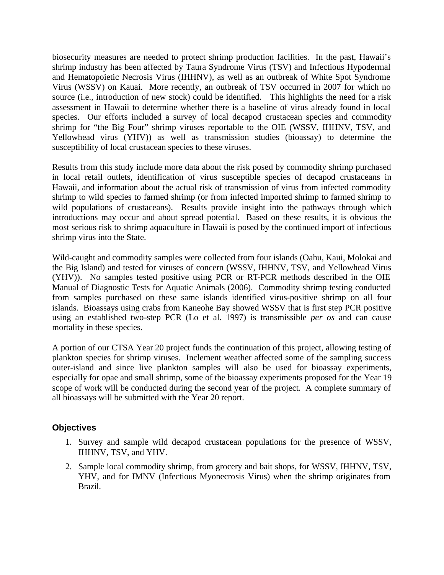biosecurity measures are needed to protect shrimp production facilities. In the past, Hawaii's shrimp industry has been affected by Taura Syndrome Virus (TSV) and Infectious Hypodermal and Hematopoietic Necrosis Virus (IHHNV), as well as an outbreak of White Spot Syndrome Virus (WSSV) on Kauai. More recently, an outbreak of TSV occurred in 2007 for which no source (i.e., introduction of new stock) could be identified. This highlights the need for a risk assessment in Hawaii to determine whether there is a baseline of virus already found in local species. Our efforts included a survey of local decapod crustacean species and commodity shrimp for "the Big Four" shrimp viruses reportable to the OIE (WSSV, IHHNV, TSV, and Yellowhead virus (YHV)) as well as transmission studies (bioassay) to determine the susceptibility of local crustacean species to these viruses.

Results from this study include more data about the risk posed by commodity shrimp purchased in local retail outlets, identification of virus susceptible species of decapod crustaceans in Hawaii, and information about the actual risk of transmission of virus from infected commodity shrimp to wild species to farmed shrimp (or from infected imported shrimp to farmed shrimp to wild populations of crustaceans). Results provide insight into the pathways through which introductions may occur and about spread potential. Based on these results, it is obvious the most serious risk to shrimp aquaculture in Hawaii is posed by the continued import of infectious shrimp virus into the State.

Wild-caught and commodity samples were collected from four islands (Oahu, Kaui, Molokai and the Big Island) and tested for viruses of concern (WSSV, IHHNV, TSV, and Yellowhead Virus (YHV)). No samples tested positive using PCR or RT-PCR methods described in the OIE Manual of Diagnostic Tests for Aquatic Animals (2006). Commodity shrimp testing conducted from samples purchased on these same islands identified virus-positive shrimp on all four islands. Bioassays using crabs from Kaneohe Bay showed WSSV that is first step PCR positive using an established two-step PCR (Lo et al. 1997) is transmissible *per os* and can cause mortality in these species.

A portion of our CTSA Year 20 project funds the continuation of this project, allowing testing of plankton species for shrimp viruses. Inclement weather affected some of the sampling success outer-island and since live plankton samples will also be used for bioassay experiments, especially for opae and small shrimp, some of the bioassay experiments proposed for the Year 19 scope of work will be conducted during the second year of the project. A complete summary of all bioassays will be submitted with the Year 20 report.

# **Objectives**

- 1. Survey and sample wild decapod crustacean populations for the presence of WSSV, IHHNV, TSV, and YHV.
- 2. Sample local commodity shrimp, from grocery and bait shops, for WSSV, IHHNV, TSV, YHV, and for IMNV (Infectious Myonecrosis Virus) when the shrimp originates from Brazil.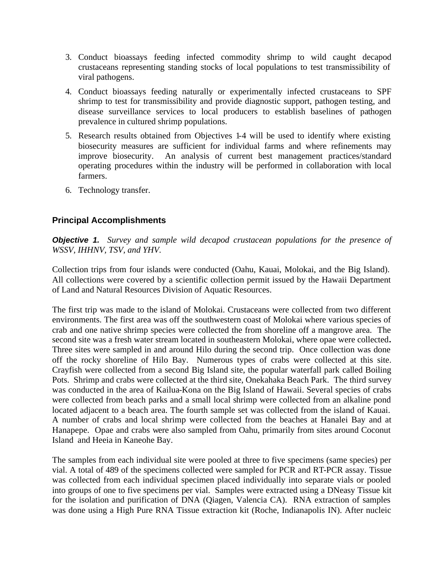- 3. Conduct bioassays feeding infected commodity shrimp to wild caught decapod crustaceans representing standing stocks of local populations to test transmissibility of viral pathogens.
- 4. Conduct bioassays feeding naturally or experimentally infected crustaceans to SPF shrimp to test for transmissibility and provide diagnostic support, pathogen testing, and disease surveillance services to local producers to establish baselines of pathogen prevalence in cultured shrimp populations.
- 5. Research results obtained from Objectives 1-4 will be used to identify where existing biosecurity measures are sufficient for individual farms and where refinements may improve biosecurity. An analysis of current best management practices/standard operating procedures within the industry will be performed in collaboration with local farmers.
- 6. Technology transfer.

# **Principal Accomplishments**

*Objective 1. Survey and sample wild decapod crustacean populations for the presence of WSSV, IHHNV, TSV, and YHV.*

Collection trips from four islands were conducted (Oahu, Kauai, Molokai, and the Big Island). All collections were covered by a scientific collection permit issued by the Hawaii Department of Land and Natural Resources Division of Aquatic Resources.

The first trip was made to the island of Molokai. Crustaceans were collected from two different environments. The first area was off the southwestern coast of Molokai where various species of crab and one native shrimp species were collected the from shoreline off a mangrove area. The second site was a fresh water stream located in southeastern Molokai, where opae were collected**.**  Three sites were sampled in and around Hilo during the second trip. Once collection was done off the rocky shoreline of Hilo Bay. Numerous types of crabs were collected at this site. Crayfish were collected from a second Big Island site, the popular waterfall park called Boiling Pots. Shrimp and crabs were collected at the third site, Onekahaka Beach Park. The third survey was conducted in the area of Kailua-Kona on the Big Island of Hawaii. Several species of crabs were collected from beach parks and a small local shrimp were collected from an alkaline pond located adjacent to a beach area. The fourth sample set was collected from the island of Kauai. A number of crabs and local shrimp were collected from the beaches at Hanalei Bay and at Hanapepe. Opae and crabs were also sampled from Oahu, primarily from sites around Coconut Island and Heeia in Kaneohe Bay.

The samples from each individual site were pooled at three to five specimens (same species) per vial. A total of 489 of the specimens collected were sampled for PCR and RT-PCR assay. Tissue was collected from each individual specimen placed individually into separate vials or pooled into groups of one to five specimens per vial. Samples were extracted using a DNeasy Tissue kit for the isolation and purification of DNA (Qiagen, Valencia CA). RNA extraction of samples was done using a High Pure RNA Tissue extraction kit (Roche, Indianapolis IN). After nucleic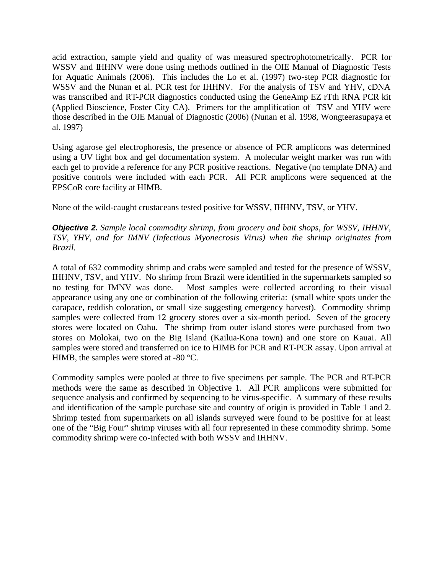acid extraction, sample yield and quality of was measured spectrophotometrically. PCR for WSSV and IHHNV were done using methods outlined in the OIE Manual of Diagnostic Tests for Aquatic Animals (2006). This includes the Lo et al. (1997) two-step PCR diagnostic for WSSV and the Nunan et al. PCR test for IHHNV. For the analysis of TSV and YHV, cDNA was transcribed and RT-PCR diagnostics conducted using the GeneAmp EZ rTth RNA PCR kit (Applied Bioscience, Foster City CA). Primers for the amplification of TSV and YHV were those described in the OIE Manual of Diagnostic (2006) (Nunan et al. 1998, Wongteerasupaya et al. 1997)

Using agarose gel electrophoresis, the presence or absence of PCR amplicons was determined using a UV light box and gel documentation system. A molecular weight marker was run with each gel to provide a reference for any PCR positive reactions. Negative (no template DNA) and positive controls were included with each PCR. All PCR amplicons were sequenced at the EPSCoR core facility at HIMB.

None of the wild-caught crustaceans tested positive for WSSV, IHHNV, TSV, or YHV.

*Objective 2. Sample local commodity shrimp, from grocery and bait shops, for WSSV, IHHNV, TSV, YHV, and for IMNV (Infectious Myonecrosis Virus) when the shrimp originates from Brazil.*

A total of 632 commodity shrimp and crabs were sampled and tested for the presence of WSSV, IHHNV, TSV, and YHV. No shrimp from Brazil were identified in the supermarkets sampled so no testing for IMNV was done. Most samples were collected according to their visual appearance using any one or combination of the following criteria: (small white spots under the carapace, reddish coloration, or small size suggesting emergency harvest). Commodity shrimp samples were collected from 12 grocery stores over a six-month period. Seven of the grocery stores were located on Oahu. The shrimp from outer island stores were purchased from two stores on Molokai, two on the Big Island (Kailua-Kona town) and one store on Kauai. All samples were stored and transferred on ice to HIMB for PCR and RT-PCR assay. Upon arrival at HIMB, the samples were stored at -80 °C.

Commodity samples were pooled at three to five specimens per sample. The PCR and RT-PCR methods were the same as described in Objective 1. All PCR amplicons were submitted for sequence analysis and confirmed by sequencing to be virus-specific. A summary of these results and identification of the sample purchase site and country of origin is provided in Table 1 and 2. Shrimp tested from supermarkets on all islands surveyed were found to be positive for at least one of the "Big Four" shrimp viruses with all four represented in these commodity shrimp. Some commodity shrimp were co-infected with both WSSV and IHHNV.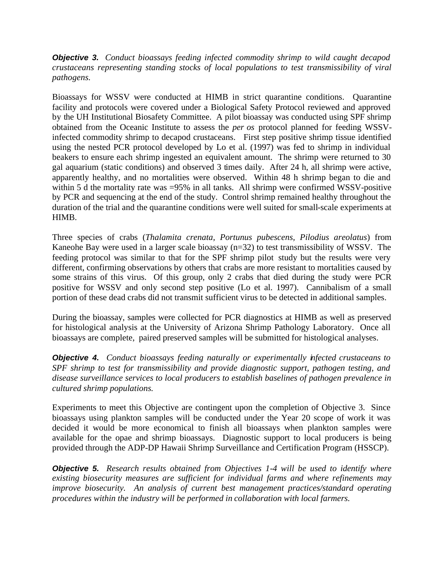*Objective 3. Conduct bioassays feeding infected commodity shrimp to wild caught decapod crustaceans representing standing stocks of local populations to test transmissibility of viral pathogens.*

Bioassays for WSSV were conducted at HIMB in strict quarantine conditions. Quarantine facility and protocols were covered under a Biological Safety Protocol reviewed and approved by the UH Institutional Biosafety Committee. A pilot bioassay was conducted using SPF shrimp obtained from the Oceanic Institute to assess the *per os* protocol planned for feeding WSSVinfected commodity shrimp to decapod crustaceans. First step positive shrimp tissue identified using the nested PCR protocol developed by Lo et al. (1997) was fed to shrimp in individual beakers to ensure each shrimp ingested an equivalent amount. The shrimp were returned to 30 gal aquarium (static conditions) and observed 3 times daily. After 24 h, all shrimp were active, apparently healthy, and no mortalities were observed. Within 48 h shrimp began to die and within 5 d the mortality rate was =95% in all tanks. All shrimp were confirmed WSSV-positive by PCR and sequencing at the end of the study. Control shrimp remained healthy throughout the duration of the trial and the quarantine conditions were well suited for small-scale experiments at HIMB.

Three species of crabs (*Thalamita crenata, Portunus pubescens, Pilodius areolatus*) from Kaneohe Bay were used in a larger scale bioassay (n=32) to test transmissibility of WSSV. The feeding protocol was similar to that for the SPF shrimp pilot study but the results were very different, confirming observations by others that crabs are more resistant to mortalities caused by some strains of this virus. Of this group, only 2 crabs that died during the study were PCR positive for WSSV and only second step positive (Lo et al. 1997). Cannibalism of a small portion of these dead crabs did not transmit sufficient virus to be detected in additional samples.

During the bioassay, samples were collected for PCR diagnostics at HIMB as well as preserved for histological analysis at the University of Arizona Shrimp Pathology Laboratory. Once all bioassays are complete, paired preserved samples will be submitted for histological analyses.

*Objective 4. Conduct bioassays feeding naturally or experimentally infected crustaceans to SPF shrimp to test for transmissibility and provide diagnostic support, pathogen testing, and disease surveillance services to local producers to establish baselines of pathogen prevalence in cultured shrimp populations.*

Experiments to meet this Objective are contingent upon the completion of Objective 3. Since bioassays using plankton samples will be conducted under the Year 20 scope of work it was decided it would be more economical to finish all bioassays when plankton samples were available for the opae and shrimp bioassays. Diagnostic support to local producers is being provided through the ADP-DP Hawaii Shrimp Surveillance and Certification Program (HSSCP).

*Objective 5. Research results obtained from Objectives 1-4 will be used to identify where existing biosecurity measures are sufficient for individual farms and where refinements may improve biosecurity. An analysis of current best management practices/standard operating procedures within the industry will be performed in collaboration with local farmers.*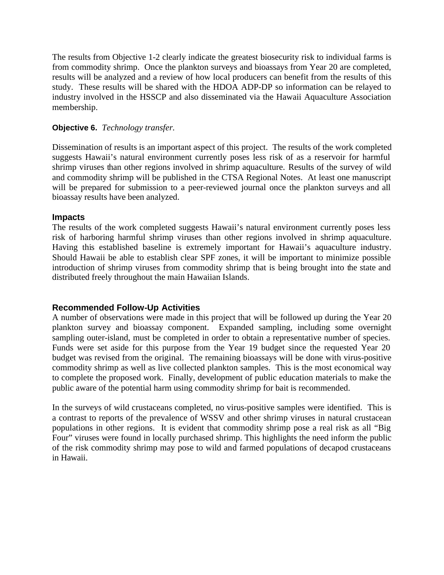The results from Objective 1-2 clearly indicate the greatest biosecurity risk to individual farms is from commodity shrimp. Once the plankton surveys and bioassays from Year 20 are completed, results will be analyzed and a review of how local producers can benefit from the results of this study. These results will be shared with the HDOA ADP-DP so information can be relayed to industry involved in the HSSCP and also disseminated via the Hawaii Aquaculture Association membership.

### **Objective 6.** *Technology transfer.*

Dissemination of results is an important aspect of this project. The results of the work completed suggests Hawaii's natural environment currently poses less risk of as a reservoir for harmful shrimp viruses than other regions involved in shrimp aquaculture. Results of the survey of wild and commodity shrimp will be published in the CTSA Regional Notes. At least one manuscript will be prepared for submission to a peer-reviewed journal once the plankton surveys and all bioassay results have been analyzed.

### **Impacts**

The results of the work completed suggests Hawaii's natural environment currently poses less risk of harboring harmful shrimp viruses than other regions involved in shrimp aquaculture. Having this established baseline is extremely important for Hawaii's aquaculture industry. Should Hawaii be able to establish clear SPF zones, it will be important to minimize possible introduction of shrimp viruses from commodity shrimp that is being brought into the state and distributed freely throughout the main Hawaiian Islands.

### **Recommended Follow-Up Activities**

A number of observations were made in this project that will be followed up during the Year 20 plankton survey and bioassay component. Expanded sampling, including some overnight sampling outer-island, must be completed in order to obtain a representative number of species. Funds were set aside for this purpose from the Year 19 budget since the requested Year 20 budget was revised from the original. The remaining bioassays will be done with virus-positive commodity shrimp as well as live collected plankton samples. This is the most economical way to complete the proposed work. Finally, development of public education materials to make the public aware of the potential harm using commodity shrimp for bait is recommended.

In the surveys of wild crustaceans completed, no virus-positive samples were identified. This is a contrast to reports of the prevalence of WSSV and other shrimp viruses in natural crustacean populations in other regions. It is evident that commodity shrimp pose a real risk as all "Big Four" viruses were found in locally purchased shrimp. This highlights the need inform the public of the risk commodity shrimp may pose to wild and farmed populations of decapod crustaceans in Hawaii.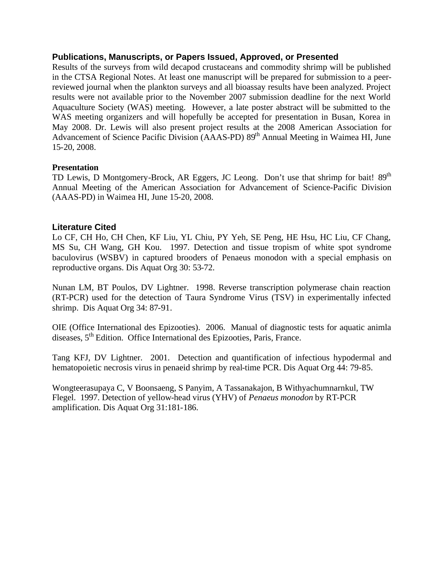### **Publications, Manuscripts, or Papers Issued, Approved, or Presented**

Results of the surveys from wild decapod crustaceans and commodity shrimp will be published in the CTSA Regional Notes. At least one manuscript will be prepared for submission to a peerreviewed journal when the plankton surveys and all bioassay results have been analyzed. Project results were not available prior to the November 2007 submission deadline for the next World Aquaculture Society (WAS) meeting. However, a late poster abstract will be submitted to the WAS meeting organizers and will hopefully be accepted for presentation in Busan, Korea in May 2008. Dr. Lewis will also present project results at the 2008 American Association for Advancement of Science Pacific Division (AAAS-PD) 89<sup>th</sup> Annual Meeting in Waimea HI, June 15-20, 2008.

### **Presentation**

TD Lewis, D Montgomery-Brock, AR Eggers, JC Leong. Don't use that shrimp for bait! 89<sup>th</sup> Annual Meeting of the American Association for Advancement of Science-Pacific Division (AAAS-PD) in Waimea HI, June 15-20, 2008.

### **Literature Cited**

Lo CF, CH Ho, CH Chen, KF Liu, YL Chiu, PY Yeh, SE Peng, HE Hsu, HC Liu, CF Chang, MS Su, CH Wang, GH Kou. 1997. Detection and tissue tropism of white spot syndrome baculovirus (WSBV) in captured brooders of Penaeus monodon with a special emphasis on reproductive organs. Dis Aquat Org 30: 53-72.

Nunan LM, BT Poulos, DV Lightner. 1998. Reverse transcription polymerase chain reaction (RT-PCR) used for the detection of Taura Syndrome Virus (TSV) in experimentally infected shrimp. Dis Aquat Org 34: 87-91.

OIE (Office International des Epizooties). 2006. Manual of diagnostic tests for aquatic animla diseases, 5<sup>th</sup> Edition. Office International des Epizooties, Paris, France.

Tang KFJ, DV Lightner. 2001. Detection and quantification of infectious hypodermal and hematopoietic necrosis virus in penaeid shrimp by real-time PCR. Dis Aquat Org 44: 79-85.

Wongteerasupaya C, V Boonsaeng, S Panyim, A Tassanakajon, B Withyachumnarnkul, TW Flegel. 1997. Detection of yellow-head virus (YHV) of *Penaeus monodon* by RT-PCR amplification. Dis Aquat Org 31:181-186.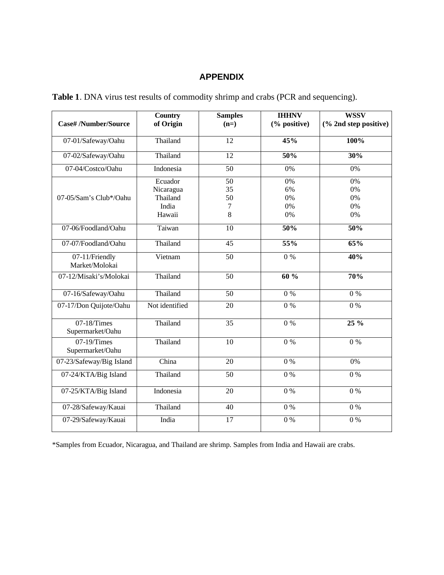# **APPENDIX**

| Table 1. DNA virus test results of commodity shrimp and crabs (PCR and sequencing). |  |  |  |
|-------------------------------------------------------------------------------------|--|--|--|
|-------------------------------------------------------------------------------------|--|--|--|

| <b>Case#/Number/Source</b>         | <b>Country</b><br>of Origin                         | <b>Samples</b><br>$(n=)$              | <b>IHHNV</b><br>(% positive) | <b>WSSV</b><br>(% 2nd step positive) |
|------------------------------------|-----------------------------------------------------|---------------------------------------|------------------------------|--------------------------------------|
| 07-01/Safeway/Oahu                 | Thailand                                            | 12                                    | 45%                          | 100%                                 |
| 07-02/Safeway/Oahu                 | Thailand                                            | 12                                    | 50%                          | 30%                                  |
| 07-04/Costco/Oahu                  | Indonesia                                           | $\overline{50}$                       | $0\%$                        | 0%                                   |
| 07-05/Sam's Club*/Oahu             | Ecuador<br>Nicaragua<br>Thailand<br>India<br>Hawaii | $\overline{50}$<br>35<br>50<br>7<br>8 | 0%<br>6%<br>0%<br>0%<br>0%   | 0%<br>0%<br>0%<br>0%<br>0%           |
| 07-06/Foodland/Oahu                | Taiwan                                              | 10                                    | 50%                          | 50%                                  |
| 07-07/Foodland/Oahu                | Thailand                                            | 45                                    | 55%                          | 65%                                  |
| 07-11/Friendly<br>Market/Molokai   | Vietnam                                             | $\overline{50}$                       | $0\%$                        | 40%                                  |
| 07-12/Misaki's/Molokai             | Thailand                                            | $\overline{50}$                       | 60%                          | 70%                                  |
| 07-16/Safeway/Oahu                 | Thailand                                            | 50                                    | $0\%$                        | $0\%$                                |
| 07-17/Don Quijote/Oahu             | Not identified                                      | 20                                    | $0\%$                        | $0\%$                                |
| 07-18/Times<br>Supermarket/Oahu    | Thailand                                            | $\overline{35}$                       | $0\%$                        | $25\%$                               |
| $07-19$ /Times<br>Supermarket/Oahu | Thailand                                            | 10                                    | $0\%$                        | $0\%$                                |
| 07-23/Safeway/Big Island           | China                                               | 20                                    | $0\ \%$                      | 0%                                   |
| 07-24/KTA/Big Island               | Thailand                                            | $\overline{50}$                       | 0%                           | $0\%$                                |
| 07-25/KTA/Big Island               | Indonesia                                           | 20                                    | 0%                           | $0\ \%$                              |
| 07-28/Safeway/Kauai                | Thailand                                            | 40                                    | $0\ \%$                      | $0\ \%$                              |
| 07-29/Safeway/Kauai                | India                                               | 17                                    | 0%                           | 0%                                   |

\*Samples from Ecuador, Nicaragua, and Thailand are shrimp. Samples from India and Hawaii are crabs.